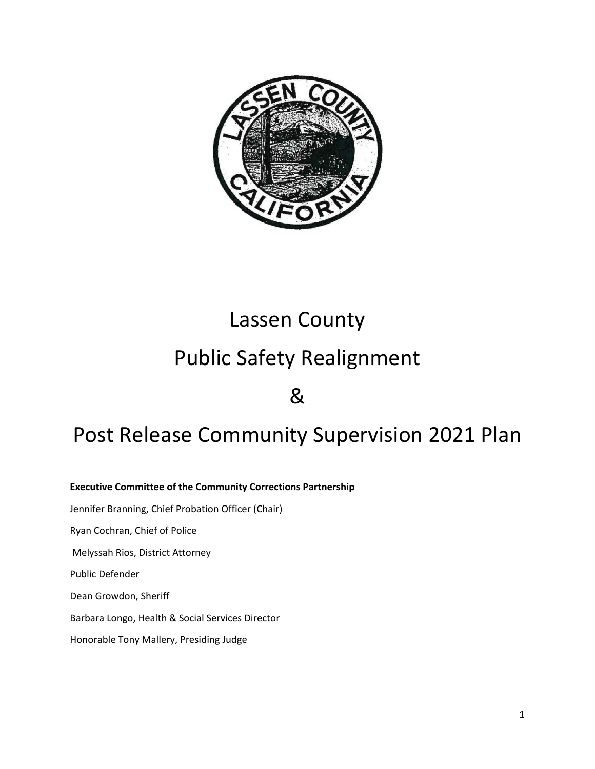

# Lassen County

# Public Safety Realignment

&

## Post Release Community Supervision 2021 Plan

**Executive Committee of the Community Corrections Partnership** Jennifer Branning, Chief Probation Officer (Chair) Ryan Cochran, Chief of Police Melyssah Rios, District Attorney Public Defender Dean Growdon, Sheriff Barbara Longo, Health & Social Services Director Honorable Tony Mallery, Presiding Judge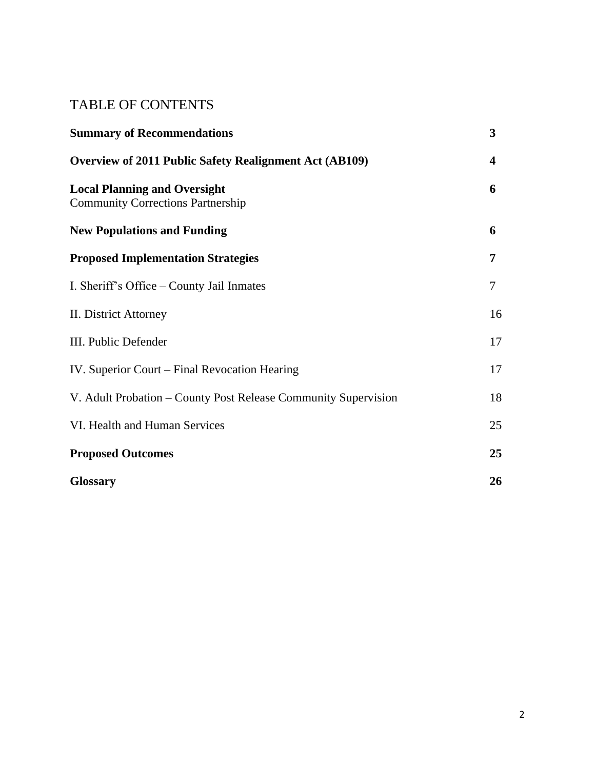## TABLE OF CONTENTS

| <b>Summary of Recommendations</b>                                               | 3                       |
|---------------------------------------------------------------------------------|-------------------------|
| <b>Overview of 2011 Public Safety Realignment Act (AB109)</b>                   | $\overline{\mathbf{4}}$ |
| <b>Local Planning and Oversight</b><br><b>Community Corrections Partnership</b> | 6                       |
| <b>New Populations and Funding</b>                                              | 6                       |
| <b>Proposed Implementation Strategies</b>                                       | 7                       |
| I. Sheriff's Office – County Jail Inmates                                       | 7                       |
| II. District Attorney                                                           | 16                      |
| III. Public Defender                                                            | 17                      |
| IV. Superior Court – Final Revocation Hearing                                   | 17                      |
| V. Adult Probation – County Post Release Community Supervision                  | 18                      |
| VI. Health and Human Services                                                   | 25                      |
| <b>Proposed Outcomes</b>                                                        | 25                      |
| <b>Glossary</b>                                                                 | 26                      |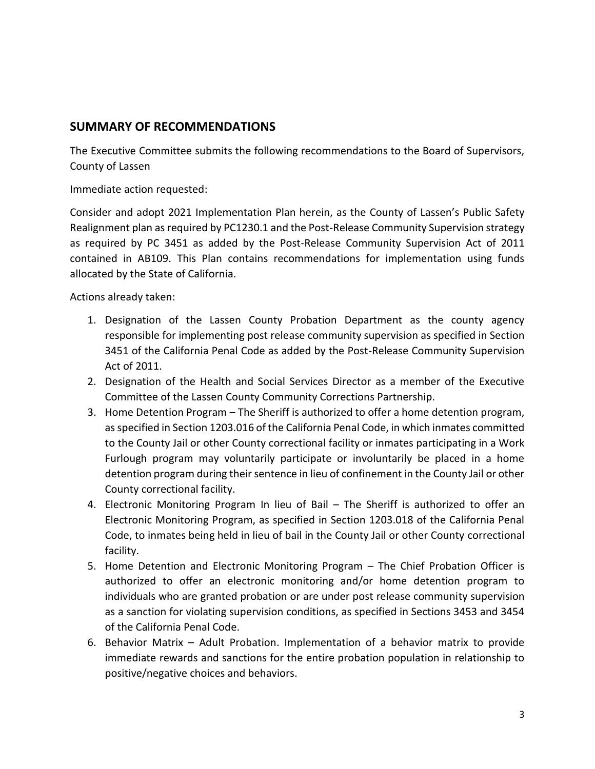## **SUMMARY OF RECOMMENDATIONS**

The Executive Committee submits the following recommendations to the Board of Supervisors, County of Lassen

Immediate action requested:

Consider and adopt 2021 Implementation Plan herein, as the County of Lassen's Public Safety Realignment plan as required by PC1230.1 and the Post-Release Community Supervision strategy as required by PC 3451 as added by the Post-Release Community Supervision Act of 2011 contained in AB109. This Plan contains recommendations for implementation using funds allocated by the State of California.

Actions already taken:

- 1. Designation of the Lassen County Probation Department as the county agency responsible for implementing post release community supervision as specified in Section 3451 of the California Penal Code as added by the Post-Release Community Supervision Act of 2011.
- 2. Designation of the Health and Social Services Director as a member of the Executive Committee of the Lassen County Community Corrections Partnership.
- 3. Home Detention Program The Sheriff is authorized to offer a home detention program, as specified in Section 1203.016 of the California Penal Code, in which inmates committed to the County Jail or other County correctional facility or inmates participating in a Work Furlough program may voluntarily participate or involuntarily be placed in a home detention program during their sentence in lieu of confinement in the County Jail or other County correctional facility.
- 4. Electronic Monitoring Program In lieu of Bail The Sheriff is authorized to offer an Electronic Monitoring Program, as specified in Section 1203.018 of the California Penal Code, to inmates being held in lieu of bail in the County Jail or other County correctional facility.
- 5. Home Detention and Electronic Monitoring Program The Chief Probation Officer is authorized to offer an electronic monitoring and/or home detention program to individuals who are granted probation or are under post release community supervision as a sanction for violating supervision conditions, as specified in Sections 3453 and 3454 of the California Penal Code.
- 6. Behavior Matrix Adult Probation. Implementation of a behavior matrix to provide immediate rewards and sanctions for the entire probation population in relationship to positive/negative choices and behaviors.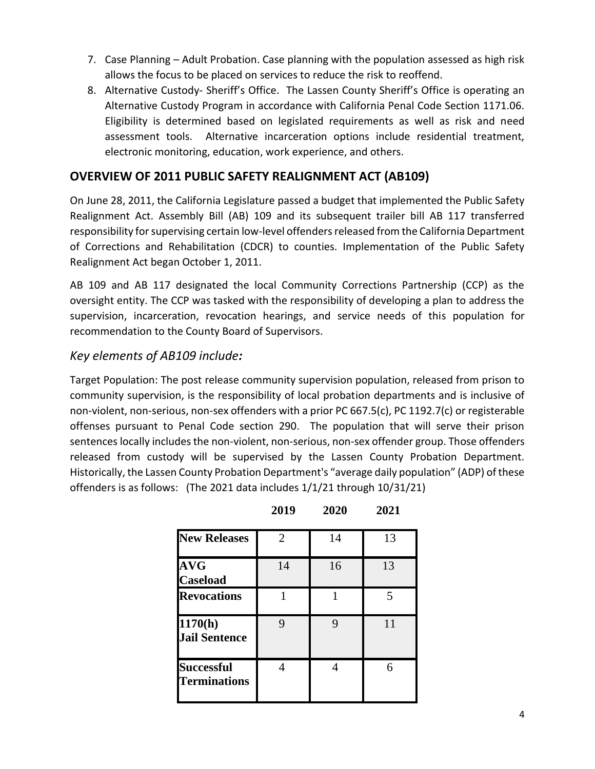- 7. Case Planning Adult Probation. Case planning with the population assessed as high risk allows the focus to be placed on services to reduce the risk to reoffend.
- 8. Alternative Custody- Sheriff's Office. The Lassen County Sheriff's Office is operating an Alternative Custody Program in accordance with California Penal Code Section 1171.06. Eligibility is determined based on legislated requirements as well as risk and need assessment tools. Alternative incarceration options include residential treatment, electronic monitoring, education, work experience, and others.

## **OVERVIEW OF 2011 PUBLIC SAFETY REALIGNMENT ACT (AB109)**

On June 28, 2011, the California Legislature passed a budget that implemented the Public Safety Realignment Act. Assembly Bill (AB) 109 and its subsequent trailer bill AB 117 transferred responsibility for supervising certain low-level offenders released from the California Department of Corrections and Rehabilitation (CDCR) to counties. Implementation of the Public Safety Realignment Act began October 1, 2011.

AB 109 and AB 117 designated the local Community Corrections Partnership (CCP) as the oversight entity. The CCP was tasked with the responsibility of developing a plan to address the supervision, incarceration, revocation hearings, and service needs of this population for recommendation to the County Board of Supervisors.

## *Key elements of AB109 include:*

Target Population: The post release community supervision population, released from prison to community supervision, is the responsibility of local probation departments and is inclusive of non-violent, non-serious, non-sex offenders with a prior PC 667.5(c), PC 1192.7(c) or registerable offenses pursuant to Penal Code section 290. The population that will serve their prison sentences locally includes the non-violent, non-serious, non-sex offender group. Those offenders released from custody will be supervised by the Lassen County Probation Department. Historically, the Lassen County Probation Department's "average daily population" (ADP) of these offenders is as follows: (The 2021 data includes 1/1/21 through 10/31/21)

| <b>New Releases</b>                      | $\mathcal{D}_{\cdot}$ | 14 | 13 |
|------------------------------------------|-----------------------|----|----|
| <b>AVG</b><br><b>Caseload</b>            | 14                    | 16 | 13 |
| <b>Revocations</b>                       |                       |    | 5  |
| 1170(h)<br><b>Jail Sentence</b>          | Q                     |    | 11 |
| <b>Successful</b><br><b>Terminations</b> |                       |    | 6  |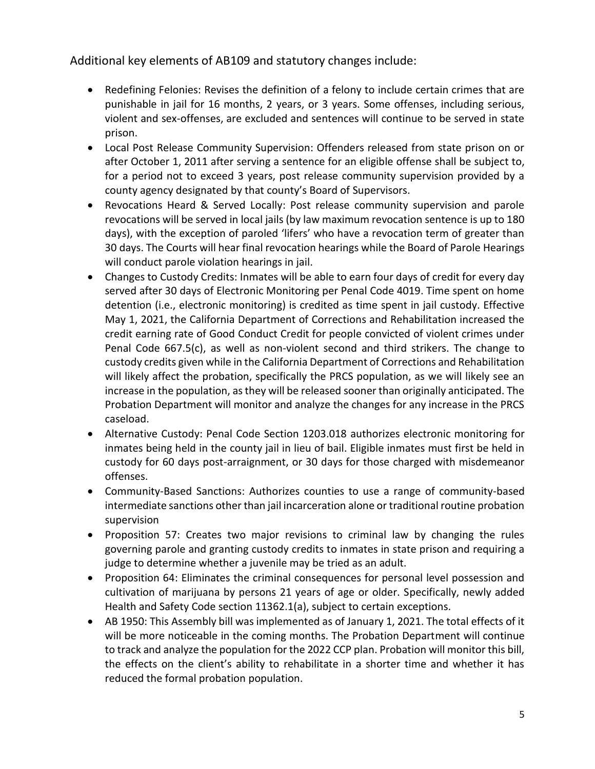Additional key elements of AB109 and statutory changes include:

- Redefining Felonies: Revises the definition of a felony to include certain crimes that are punishable in jail for 16 months, 2 years, or 3 years. Some offenses, including serious, violent and sex-offenses, are excluded and sentences will continue to be served in state prison.
- Local Post Release Community Supervision: Offenders released from state prison on or after October 1, 2011 after serving a sentence for an eligible offense shall be subject to, for a period not to exceed 3 years, post release community supervision provided by a county agency designated by that county's Board of Supervisors.
- Revocations Heard & Served Locally: Post release community supervision and parole revocations will be served in local jails (by law maximum revocation sentence is up to 180 days), with the exception of paroled 'lifers' who have a revocation term of greater than 30 days. The Courts will hear final revocation hearings while the Board of Parole Hearings will conduct parole violation hearings in jail.
- Changes to Custody Credits: Inmates will be able to earn four days of credit for every day served after 30 days of Electronic Monitoring per Penal Code 4019. Time spent on home detention (i.e., electronic monitoring) is credited as time spent in jail custody. Effective May 1, 2021, the California Department of Corrections and Rehabilitation increased the credit earning rate of Good Conduct Credit for people convicted of violent crimes under Penal Code 667.5(c), as well as non-violent second and third strikers. The change to custody credits given while in the California Department of Corrections and Rehabilitation will likely affect the probation, specifically the PRCS population, as we will likely see an increase in the population, as they will be released sooner than originally anticipated. The Probation Department will monitor and analyze the changes for any increase in the PRCS caseload.
- Alternative Custody: Penal Code Section 1203.018 authorizes electronic monitoring for inmates being held in the county jail in lieu of bail. Eligible inmates must first be held in custody for 60 days post-arraignment, or 30 days for those charged with misdemeanor offenses.
- Community-Based Sanctions: Authorizes counties to use a range of community-based intermediate sanctions other than jail incarceration alone or traditional routine probation supervision
- Proposition 57: Creates two major revisions to criminal law by changing the rules governing parole and granting custody credits to inmates in state prison and requiring a judge to determine whether a juvenile may be tried as an adult.
- Proposition 64: Eliminates the criminal consequences for personal level possession and cultivation of marijuana by persons 21 years of age or older. Specifically, newly added Health and Safety Code section 11362.1(a), subject to certain exceptions.
- AB 1950: This Assembly bill was implemented as of January 1, 2021. The total effects of it will be more noticeable in the coming months. The Probation Department will continue to track and analyze the population for the 2022 CCP plan. Probation will monitor this bill, the effects on the client's ability to rehabilitate in a shorter time and whether it has reduced the formal probation population.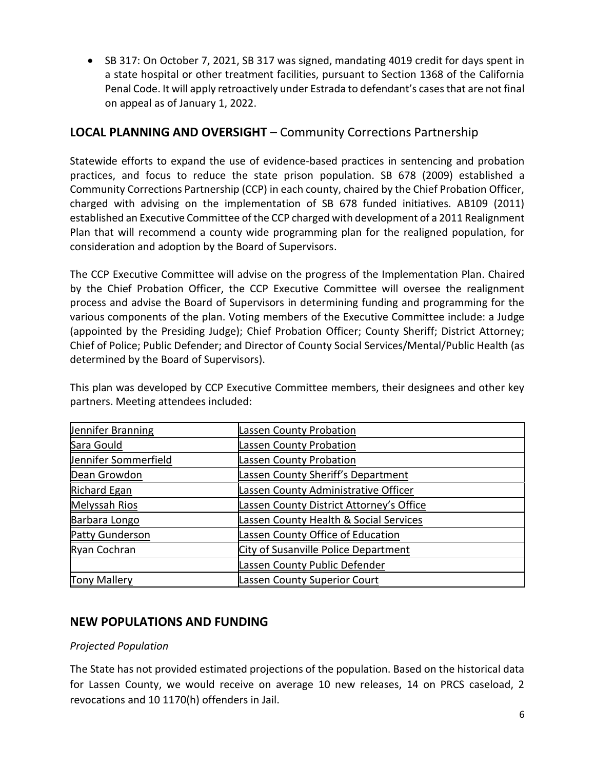• SB 317: On October 7, 2021, SB 317 was signed, mandating 4019 credit for days spent in a state hospital or other treatment facilities, pursuant to Section 1368 of the California Penal Code. It will apply retroactively under Estrada to defendant's cases that are not final on appeal as of January 1, 2022.

## **LOCAL PLANNING AND OVERSIGHT** – Community Corrections Partnership

Statewide efforts to expand the use of evidence-based practices in sentencing and probation practices, and focus to reduce the state prison population. SB 678 (2009) established a Community Corrections Partnership (CCP) in each county, chaired by the Chief Probation Officer, charged with advising on the implementation of SB 678 funded initiatives. AB109 (2011) established an Executive Committee of the CCP charged with development of a 2011 Realignment Plan that will recommend a county wide programming plan for the realigned population, for consideration and adoption by the Board of Supervisors.

The CCP Executive Committee will advise on the progress of the Implementation Plan. Chaired by the Chief Probation Officer, the CCP Executive Committee will oversee the realignment process and advise the Board of Supervisors in determining funding and programming for the various components of the plan. Voting members of the Executive Committee include: a Judge (appointed by the Presiding Judge); Chief Probation Officer; County Sheriff; District Attorney; Chief of Police; Public Defender; and Director of County Social Services/Mental/Public Health (as determined by the Board of Supervisors).

This plan was developed by CCP Executive Committee members, their designees and other key partners. Meeting attendees included:

| Jennifer Branning    | <b>Lassen County Probation</b>              |
|----------------------|---------------------------------------------|
| Sara Gould           | <b>Lassen County Probation</b>              |
| Jennifer Sommerfield | <b>Lassen County Probation</b>              |
| Dean Growdon         | Lassen County Sheriff's Department          |
| Richard Egan         | Lassen County Administrative Officer        |
| Melyssah Rios        | Lassen County District Attorney's Office    |
| Barbara Longo        | Lassen County Health & Social Services      |
| Patty Gunderson      | Lassen County Office of Education           |
| Ryan Cochran         | <b>City of Susanville Police Department</b> |
|                      | <b>Lassen County Public Defender</b>        |
| <b>Tony Mallery</b>  | <b>Lassen County Superior Court</b>         |

## **NEW POPULATIONS AND FUNDING**

#### *Projected Population*

The State has not provided estimated projections of the population. Based on the historical data for Lassen County, we would receive on average 10 new releases, 14 on PRCS caseload, 2 revocations and 10 1170(h) offenders in Jail.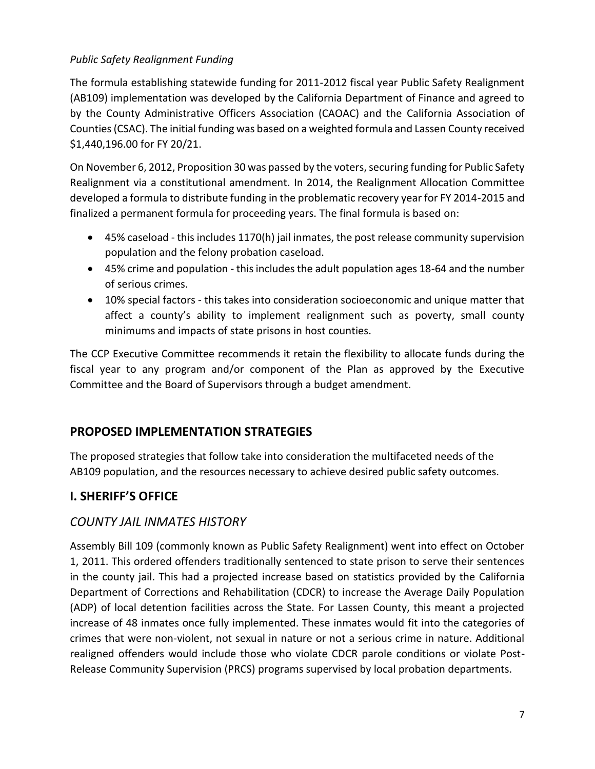### *Public Safety Realignment Funding*

The formula establishing statewide funding for 2011-2012 fiscal year Public Safety Realignment (AB109) implementation was developed by the California Department of Finance and agreed to by the County Administrative Officers Association (CAOAC) and the California Association of Counties (CSAC). The initial funding was based on a weighted formula and Lassen County received \$1,440,196.00 for FY 20/21.

On November 6, 2012, Proposition 30 was passed by the voters, securing funding for Public Safety Realignment via a constitutional amendment. In 2014, the Realignment Allocation Committee developed a formula to distribute funding in the problematic recovery year for FY 2014-2015 and finalized a permanent formula for proceeding years. The final formula is based on:

- 45% caseload this includes 1170(h) jail inmates, the post release community supervision population and the felony probation caseload.
- 45% crime and population this includes the adult population ages 18-64 and the number of serious crimes.
- 10% special factors this takes into consideration socioeconomic and unique matter that affect a county's ability to implement realignment such as poverty, small county minimums and impacts of state prisons in host counties.

The CCP Executive Committee recommends it retain the flexibility to allocate funds during the fiscal year to any program and/or component of the Plan as approved by the Executive Committee and the Board of Supervisors through a budget amendment.

## **PROPOSED IMPLEMENTATION STRATEGIES**

The proposed strategies that follow take into consideration the multifaceted needs of the AB109 population, and the resources necessary to achieve desired public safety outcomes.

## **I. SHERIFF'S OFFICE**

## *COUNTY JAIL INMATES HISTORY*

Assembly Bill 109 (commonly known as Public Safety Realignment) went into effect on October 1, 2011. This ordered offenders traditionally sentenced to state prison to serve their sentences in the county jail. This had a projected increase based on statistics provided by the California Department of Corrections and Rehabilitation (CDCR) to increase the Average Daily Population (ADP) of local detention facilities across the State. For Lassen County, this meant a projected increase of 48 inmates once fully implemented. These inmates would fit into the categories of crimes that were non-violent, not sexual in nature or not a serious crime in nature. Additional realigned offenders would include those who violate CDCR parole conditions or violate Post-Release Community Supervision (PRCS) programs supervised by local probation departments.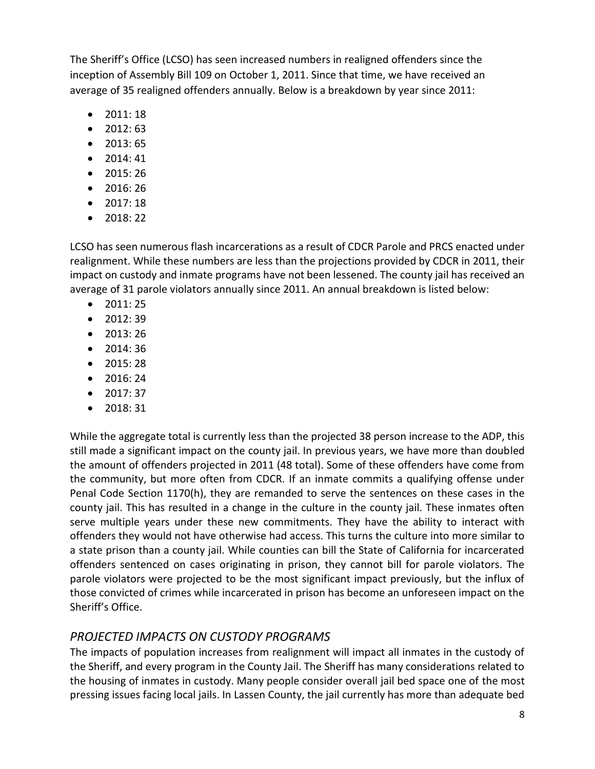The Sheriff's Office (LCSO) has seen increased numbers in realigned offenders since the inception of Assembly Bill 109 on October 1, 2011. Since that time, we have received an average of 35 realigned offenders annually. Below is a breakdown by year since 2011:

- 2011: 18
- 2012: 63
- 2013: 65
- 2014: 41
- $2015:26$
- 2016: 26
- 2017: 18
- 2018: 22

LCSO has seen numerous flash incarcerations as a result of CDCR Parole and PRCS enacted under realignment. While these numbers are less than the projections provided by CDCR in 2011, their impact on custody and inmate programs have not been lessened. The county jail has received an average of 31 parole violators annually since 2011. An annual breakdown is listed below:

- 2011: 25
- 2012: 39
- 2013: 26
- 2014: 36
- 2015: 28
- 2016: 24
- $2017:37$
- $2018:31$

While the aggregate total is currently less than the projected 38 person increase to the ADP, this still made a significant impact on the county jail. In previous years, we have more than doubled the amount of offenders projected in 2011 (48 total). Some of these offenders have come from the community, but more often from CDCR. If an inmate commits a qualifying offense under Penal Code Section 1170(h), they are remanded to serve the sentences on these cases in the county jail. This has resulted in a change in the culture in the county jail. These inmates often serve multiple years under these new commitments. They have the ability to interact with offenders they would not have otherwise had access. This turns the culture into more similar to a state prison than a county jail. While counties can bill the State of California for incarcerated offenders sentenced on cases originating in prison, they cannot bill for parole violators. The parole violators were projected to be the most significant impact previously, but the influx of those convicted of crimes while incarcerated in prison has become an unforeseen impact on the Sheriff's Office.

## *PROJECTED IMPACTS ON CUSTODY PROGRAMS*

The impacts of population increases from realignment will impact all inmates in the custody of the Sheriff, and every program in the County Jail. The Sheriff has many considerations related to the housing of inmates in custody. Many people consider overall jail bed space one of the most pressing issues facing local jails. In Lassen County, the jail currently has more than adequate bed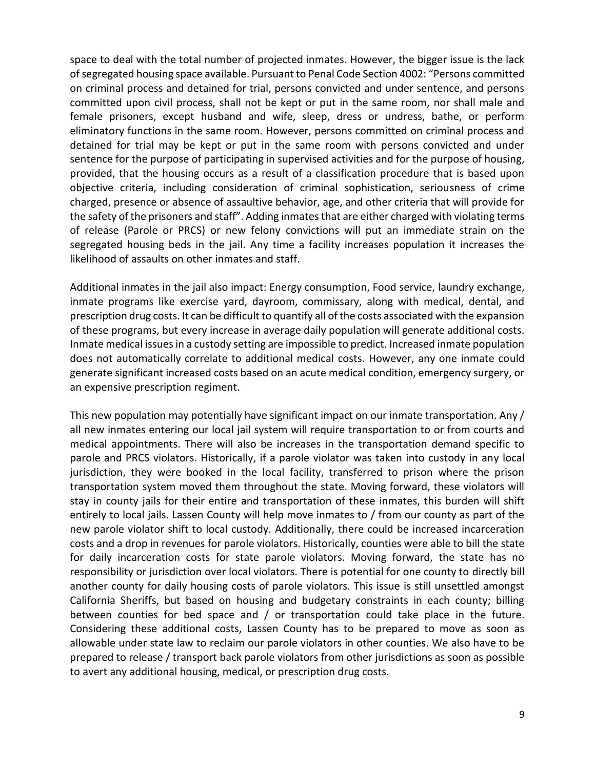space to deal with the total number of projected inmates. However, the bigger issue is the lack of segregated housing space available. Pursuant to Penal Code Section 4002: "Persons committed on criminal process and detained for trial, persons convicted and under sentence, and persons committed upon civil process, shall not be kept or put in the same room, nor shall male and female prisoners, except husband and wife, sleep, dress or undress, bathe, or perform eliminatory functions in the same room. However, persons committed on criminal process and detained for trial may be kept or put in the same room with persons convicted and under sentence for the purpose of participating in supervised activities and for the purpose of housing, provided, that the housing occurs as a result of a classification procedure that is based upon objective criteria, including consideration of criminal sophistication, seriousness of crime charged, presence or absence of assaultive behavior, age, and other criteria that will provide for the safety of the prisoners and staff". Adding inmates that are either charged with violating terms of release (Parole or PRCS) or new felony convictions will put an immediate strain on the segregated housing beds in the jail. Any time a facility increases population it increases the likelihood of assaults on other inmates and staff.

Additional inmates in the jail also impact: Energy consumption, Food service, laundry exchange, inmate programs like exercise yard, dayroom, commissary, along with medical, dental, and prescription drug costs. It can be difficult to quantify all of the costs associated with the expansion of these programs, but every increase in average daily population will generate additional costs. Inmate medical issues in a custody setting are impossible to predict. Increased inmate population does not automatically correlate to additional medical costs. However, any one inmate could generate significant increased costs based on an acute medical condition, emergency surgery, or an expensive prescription regiment.

This new population may potentially have significant impact on our inmate transportation. Any / all new inmates entering our local jail system will require transportation to or from courts and medical appointments. There will also be increases in the transportation demand specific to parole and PRCS violators. Historically, if a parole violator was taken into custody in any local jurisdiction, they were booked in the local facility, transferred to prison where the prison transportation system moved them throughout the state. Moving forward, these violators will stay in county jails for their entire and transportation of these inmates, this burden will shift entirely to local jails. Lassen County will help move inmates to / from our county as part of the new parole violator shift to local custody. Additionally, there could be increased incarceration costs and a drop in revenues for parole violators. Historically, counties were able to bill the state for daily incarceration costs for state parole violators. Moving forward, the state has no responsibility or jurisdiction over local violators. There is potential for one county to directly bill another county for daily housing costs of parole violators. This issue is still unsettled amongst California Sheriffs, but based on housing and budgetary constraints in each county; billing between counties for bed space and / or transportation could take place in the future. Considering these additional costs, Lassen County has to be prepared to move as soon as allowable under state law to reclaim our parole violators in other counties. We also have to be prepared to release / transport back parole violators from other jurisdictions as soon as possible to avert any additional housing, medical, or prescription drug costs.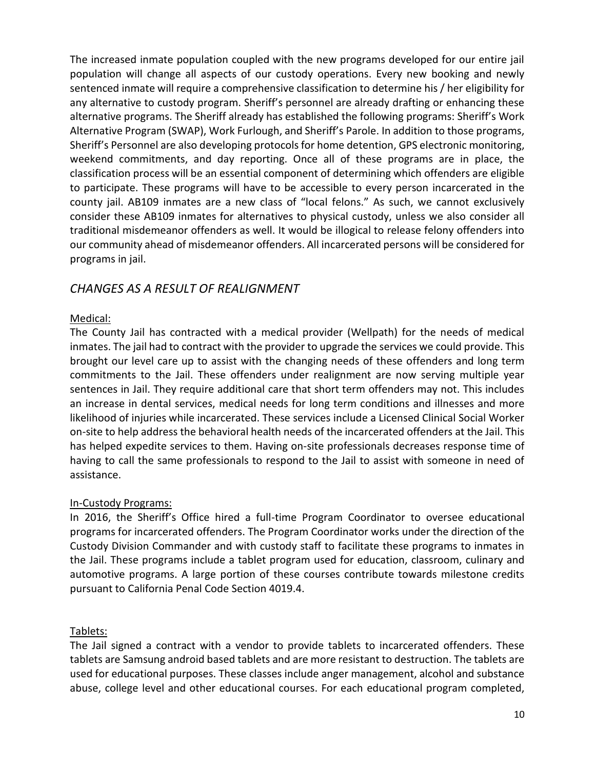The increased inmate population coupled with the new programs developed for our entire jail population will change all aspects of our custody operations. Every new booking and newly sentenced inmate will require a comprehensive classification to determine his / her eligibility for any alternative to custody program. Sheriff's personnel are already drafting or enhancing these alternative programs. The Sheriff already has established the following programs: Sheriff's Work Alternative Program (SWAP), Work Furlough, and Sheriff's Parole. In addition to those programs, Sheriff's Personnel are also developing protocols for home detention, GPS electronic monitoring, weekend commitments, and day reporting. Once all of these programs are in place, the classification process will be an essential component of determining which offenders are eligible to participate. These programs will have to be accessible to every person incarcerated in the county jail. AB109 inmates are a new class of "local felons." As such, we cannot exclusively consider these AB109 inmates for alternatives to physical custody, unless we also consider all traditional misdemeanor offenders as well. It would be illogical to release felony offenders into our community ahead of misdemeanor offenders. All incarcerated persons will be considered for programs in jail.

## *CHANGES AS A RESULT OF REALIGNMENT*

#### Medical:

The County Jail has contracted with a medical provider (Wellpath) for the needs of medical inmates. The jail had to contract with the provider to upgrade the services we could provide. This brought our level care up to assist with the changing needs of these offenders and long term commitments to the Jail. These offenders under realignment are now serving multiple year sentences in Jail. They require additional care that short term offenders may not. This includes an increase in dental services, medical needs for long term conditions and illnesses and more likelihood of injuries while incarcerated. These services include a Licensed Clinical Social Worker on-site to help address the behavioral health needs of the incarcerated offenders at the Jail. This has helped expedite services to them. Having on-site professionals decreases response time of having to call the same professionals to respond to the Jail to assist with someone in need of assistance.

#### In-Custody Programs:

In 2016, the Sheriff's Office hired a full-time Program Coordinator to oversee educational programs for incarcerated offenders. The Program Coordinator works under the direction of the Custody Division Commander and with custody staff to facilitate these programs to inmates in the Jail. These programs include a tablet program used for education, classroom, culinary and automotive programs. A large portion of these courses contribute towards milestone credits pursuant to California Penal Code Section 4019.4.

#### Tablets:

The Jail signed a contract with a vendor to provide tablets to incarcerated offenders. These tablets are Samsung android based tablets and are more resistant to destruction. The tablets are used for educational purposes. These classes include anger management, alcohol and substance abuse, college level and other educational courses. For each educational program completed,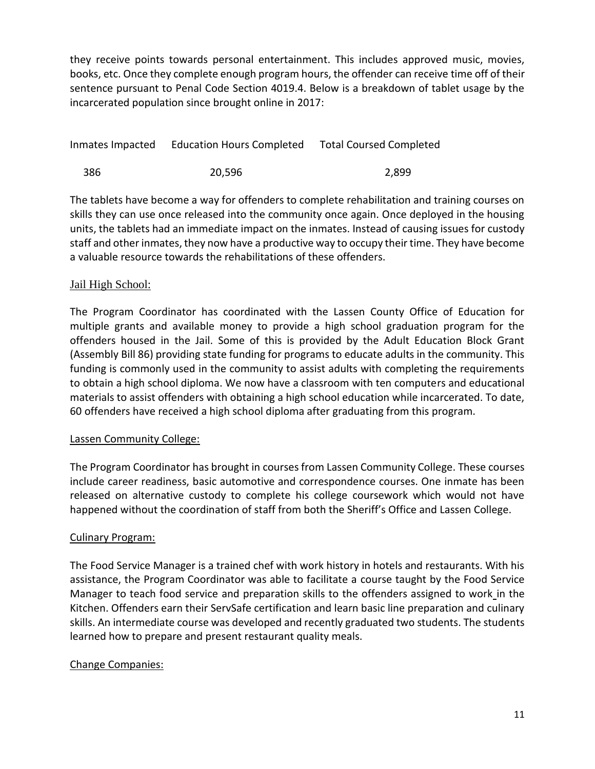they receive points towards personal entertainment. This includes approved music, movies, books, etc. Once they complete enough program hours, the offender can receive time off of their sentence pursuant to Penal Code Section 4019.4. Below is a breakdown of tablet usage by the incarcerated population since brought online in 2017:

| Inmates Impacted | <b>Education Hours Completed</b> | <b>Total Coursed Completed</b> |
|------------------|----------------------------------|--------------------------------|
| 386              | 20,596                           | 2.899                          |

The tablets have become a way for offenders to complete rehabilitation and training courses on skills they can use once released into the community once again. Once deployed in the housing units, the tablets had an immediate impact on the inmates. Instead of causing issues for custody staff and other inmates, they now have a productive way to occupy their time. They have become a valuable resource towards the rehabilitations of these offenders.

#### Jail High School:

The Program Coordinator has coordinated with the Lassen County Office of Education for multiple grants and available money to provide a high school graduation program for the offenders housed in the Jail. Some of this is provided by the Adult Education Block Grant (Assembly Bill 86) providing state funding for programs to educate adults in the community. This funding is commonly used in the community to assist adults with completing the requirements to obtain a high school diploma. We now have a classroom with ten computers and educational materials to assist offenders with obtaining a high school education while incarcerated. To date, 60 offenders have received a high school diploma after graduating from this program.

#### Lassen Community College:

The Program Coordinator has brought in courses from Lassen Community College. These courses include career readiness, basic automotive and correspondence courses. One inmate has been released on alternative custody to complete his college coursework which would not have happened without the coordination of staff from both the Sheriff's Office and Lassen College.

#### Culinary Program:

The Food Service Manager is a trained chef with work history in hotels and restaurants. With his assistance, the Program Coordinator was able to facilitate a course taught by the Food Service Manager to teach food service and preparation skills to the offenders assigned to work in the Kitchen. Offenders earn their ServSafe certification and learn basic line preparation and culinary skills. An intermediate course was developed and recently graduated two students. The students learned how to prepare and present restaurant quality meals.

#### Change Companies: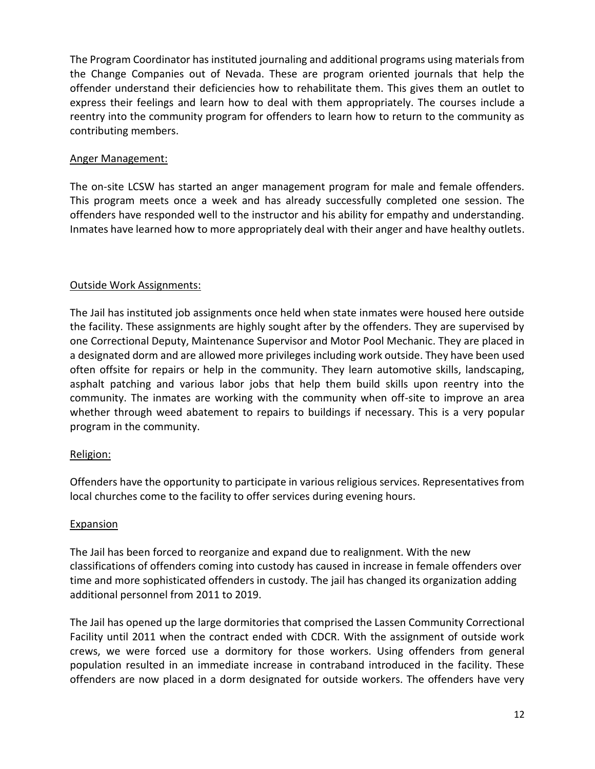The Program Coordinator has instituted journaling and additional programs using materials from the Change Companies out of Nevada. These are program oriented journals that help the offender understand their deficiencies how to rehabilitate them. This gives them an outlet to express their feelings and learn how to deal with them appropriately. The courses include a reentry into the community program for offenders to learn how to return to the community as contributing members.

#### Anger Management:

The on-site LCSW has started an anger management program for male and female offenders. This program meets once a week and has already successfully completed one session. The offenders have responded well to the instructor and his ability for empathy and understanding. Inmates have learned how to more appropriately deal with their anger and have healthy outlets.

#### Outside Work Assignments:

The Jail has instituted job assignments once held when state inmates were housed here outside the facility. These assignments are highly sought after by the offenders. They are supervised by one Correctional Deputy, Maintenance Supervisor and Motor Pool Mechanic. They are placed in a designated dorm and are allowed more privileges including work outside. They have been used often offsite for repairs or help in the community. They learn automotive skills, landscaping, asphalt patching and various labor jobs that help them build skills upon reentry into the community. The inmates are working with the community when off-site to improve an area whether through weed abatement to repairs to buildings if necessary. This is a very popular program in the community.

#### Religion:

Offenders have the opportunity to participate in various religious services. Representatives from local churches come to the facility to offer services during evening hours.

#### Expansion

The Jail has been forced to reorganize and expand due to realignment. With the new classifications of offenders coming into custody has caused in increase in female offenders over time and more sophisticated offenders in custody. The jail has changed its organization adding additional personnel from 2011 to 2019.

The Jail has opened up the large dormitories that comprised the Lassen Community Correctional Facility until 2011 when the contract ended with CDCR. With the assignment of outside work crews, we were forced use a dormitory for those workers. Using offenders from general population resulted in an immediate increase in contraband introduced in the facility. These offenders are now placed in a dorm designated for outside workers. The offenders have very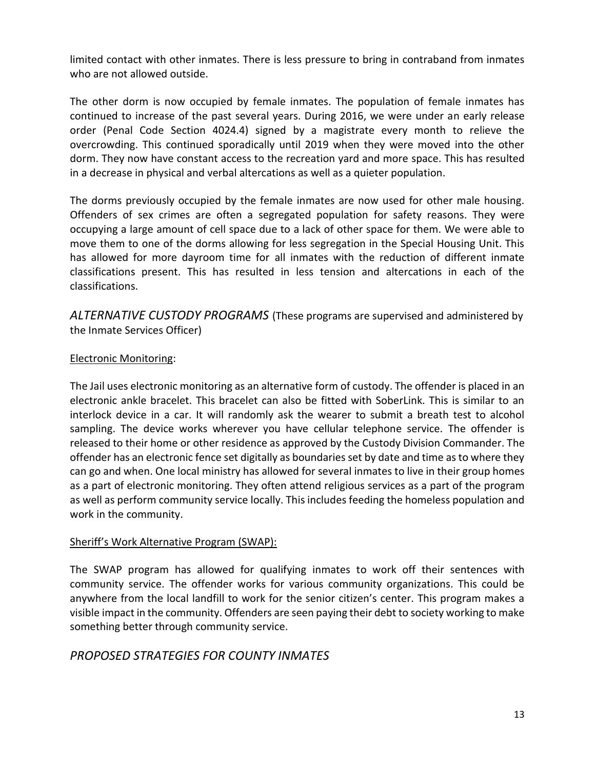limited contact with other inmates. There is less pressure to bring in contraband from inmates who are not allowed outside.

The other dorm is now occupied by female inmates. The population of female inmates has continued to increase of the past several years. During 2016, we were under an early release order (Penal Code Section 4024.4) signed by a magistrate every month to relieve the overcrowding. This continued sporadically until 2019 when they were moved into the other dorm. They now have constant access to the recreation yard and more space. This has resulted in a decrease in physical and verbal altercations as well as a quieter population.

The dorms previously occupied by the female inmates are now used for other male housing. Offenders of sex crimes are often a segregated population for safety reasons. They were occupying a large amount of cell space due to a lack of other space for them. We were able to move them to one of the dorms allowing for less segregation in the Special Housing Unit. This has allowed for more dayroom time for all inmates with the reduction of different inmate classifications present. This has resulted in less tension and altercations in each of the classifications.

*ALTERNATIVE CUSTODY PROGRAMS* (These programs are supervised and administered by the Inmate Services Officer)

#### Electronic Monitoring:

The Jail uses electronic monitoring as an alternative form of custody. The offender is placed in an electronic ankle bracelet. This bracelet can also be fitted with SoberLink. This is similar to an interlock device in a car. It will randomly ask the wearer to submit a breath test to alcohol sampling. The device works wherever you have cellular telephone service. The offender is released to their home or other residence as approved by the Custody Division Commander. The offender has an electronic fence set digitally as boundaries set by date and time as to where they can go and when. One local ministry has allowed for several inmates to live in their group homes as a part of electronic monitoring. They often attend religious services as a part of the program as well as perform community service locally. This includes feeding the homeless population and work in the community.

#### Sheriff's Work Alternative Program (SWAP):

The SWAP program has allowed for qualifying inmates to work off their sentences with community service. The offender works for various community organizations. This could be anywhere from the local landfill to work for the senior citizen's center. This program makes a visible impact in the community. Offenders are seen paying their debt to society working to make something better through community service.

## *PROPOSED STRATEGIES FOR COUNTY INMATES*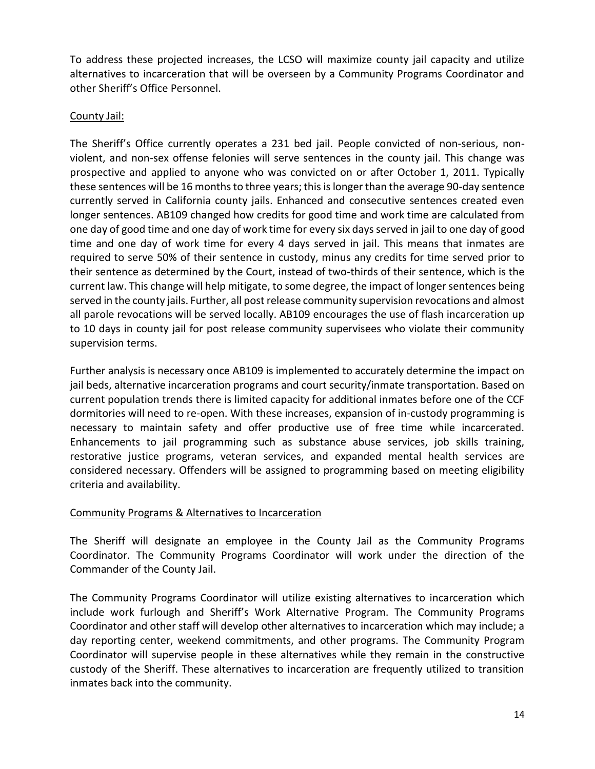To address these projected increases, the LCSO will maximize county jail capacity and utilize alternatives to incarceration that will be overseen by a Community Programs Coordinator and other Sheriff's Office Personnel.

#### County Jail:

The Sheriff's Office currently operates a 231 bed jail. People convicted of non-serious, nonviolent, and non-sex offense felonies will serve sentences in the county jail. This change was prospective and applied to anyone who was convicted on or after October 1, 2011. Typically these sentences will be 16 months to three years; this is longer than the average 90-day sentence currently served in California county jails. Enhanced and consecutive sentences created even longer sentences. AB109 changed how credits for good time and work time are calculated from one day of good time and one day of work time for every six days served in jail to one day of good time and one day of work time for every 4 days served in jail. This means that inmates are required to serve 50% of their sentence in custody, minus any credits for time served prior to their sentence as determined by the Court, instead of two-thirds of their sentence, which is the current law. This change will help mitigate, to some degree, the impact of longer sentences being served in the county jails. Further, all post release community supervision revocations and almost all parole revocations will be served locally. AB109 encourages the use of flash incarceration up to 10 days in county jail for post release community supervisees who violate their community supervision terms.

Further analysis is necessary once AB109 is implemented to accurately determine the impact on jail beds, alternative incarceration programs and court security/inmate transportation. Based on current population trends there is limited capacity for additional inmates before one of the CCF dormitories will need to re-open. With these increases, expansion of in-custody programming is necessary to maintain safety and offer productive use of free time while incarcerated. Enhancements to jail programming such as substance abuse services, job skills training, restorative justice programs, veteran services, and expanded mental health services are considered necessary. Offenders will be assigned to programming based on meeting eligibility criteria and availability.

#### Community Programs & Alternatives to Incarceration

The Sheriff will designate an employee in the County Jail as the Community Programs Coordinator. The Community Programs Coordinator will work under the direction of the Commander of the County Jail.

The Community Programs Coordinator will utilize existing alternatives to incarceration which include work furlough and Sheriff's Work Alternative Program. The Community Programs Coordinator and other staff will develop other alternatives to incarceration which may include; a day reporting center, weekend commitments, and other programs. The Community Program Coordinator will supervise people in these alternatives while they remain in the constructive custody of the Sheriff. These alternatives to incarceration are frequently utilized to transition inmates back into the community.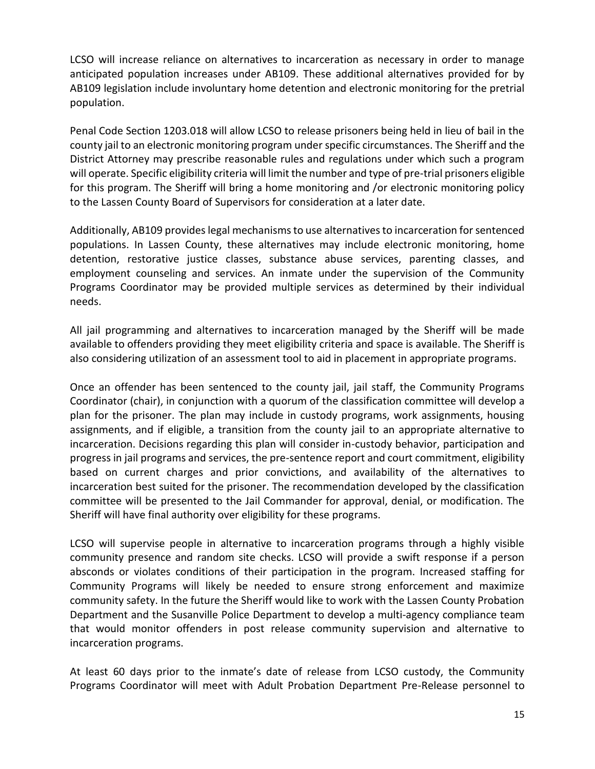LCSO will increase reliance on alternatives to incarceration as necessary in order to manage anticipated population increases under AB109. These additional alternatives provided for by AB109 legislation include involuntary home detention and electronic monitoring for the pretrial population.

Penal Code Section 1203.018 will allow LCSO to release prisoners being held in lieu of bail in the county jail to an electronic monitoring program under specific circumstances. The Sheriff and the District Attorney may prescribe reasonable rules and regulations under which such a program will operate. Specific eligibility criteria will limit the number and type of pre-trial prisoners eligible for this program. The Sheriff will bring a home monitoring and /or electronic monitoring policy to the Lassen County Board of Supervisors for consideration at a later date.

Additionally, AB109 provides legal mechanisms to use alternatives to incarceration for sentenced populations. In Lassen County, these alternatives may include electronic monitoring, home detention, restorative justice classes, substance abuse services, parenting classes, and employment counseling and services. An inmate under the supervision of the Community Programs Coordinator may be provided multiple services as determined by their individual needs.

All jail programming and alternatives to incarceration managed by the Sheriff will be made available to offenders providing they meet eligibility criteria and space is available. The Sheriff is also considering utilization of an assessment tool to aid in placement in appropriate programs.

Once an offender has been sentenced to the county jail, jail staff, the Community Programs Coordinator (chair), in conjunction with a quorum of the classification committee will develop a plan for the prisoner. The plan may include in custody programs, work assignments, housing assignments, and if eligible, a transition from the county jail to an appropriate alternative to incarceration. Decisions regarding this plan will consider in-custody behavior, participation and progress in jail programs and services, the pre-sentence report and court commitment, eligibility based on current charges and prior convictions, and availability of the alternatives to incarceration best suited for the prisoner. The recommendation developed by the classification committee will be presented to the Jail Commander for approval, denial, or modification. The Sheriff will have final authority over eligibility for these programs.

LCSO will supervise people in alternative to incarceration programs through a highly visible community presence and random site checks. LCSO will provide a swift response if a person absconds or violates conditions of their participation in the program. Increased staffing for Community Programs will likely be needed to ensure strong enforcement and maximize community safety. In the future the Sheriff would like to work with the Lassen County Probation Department and the Susanville Police Department to develop a multi-agency compliance team that would monitor offenders in post release community supervision and alternative to incarceration programs.

At least 60 days prior to the inmate's date of release from LCSO custody, the Community Programs Coordinator will meet with Adult Probation Department Pre-Release personnel to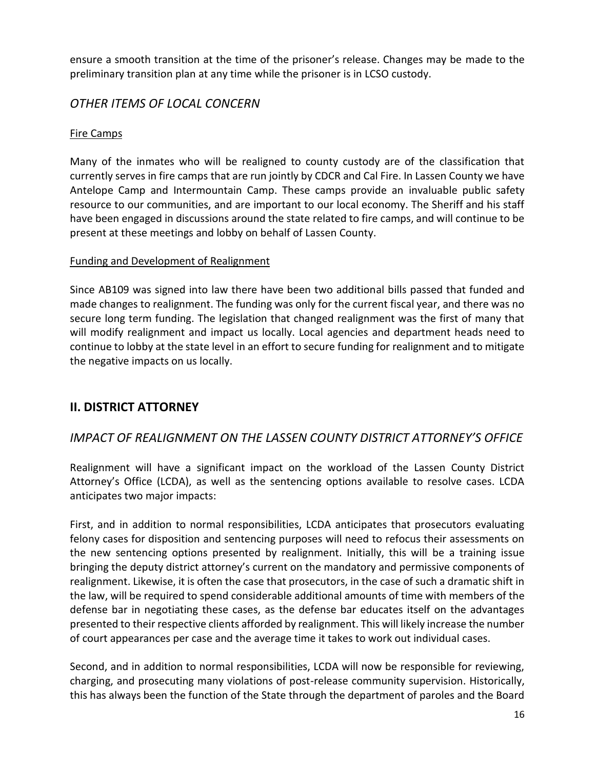ensure a smooth transition at the time of the prisoner's release. Changes may be made to the preliminary transition plan at any time while the prisoner is in LCSO custody.

## *OTHER ITEMS OF LOCAL CONCERN*

#### Fire Camps

Many of the inmates who will be realigned to county custody are of the classification that currently serves in fire camps that are run jointly by CDCR and Cal Fire. In Lassen County we have Antelope Camp and Intermountain Camp. These camps provide an invaluable public safety resource to our communities, and are important to our local economy. The Sheriff and his staff have been engaged in discussions around the state related to fire camps, and will continue to be present at these meetings and lobby on behalf of Lassen County.

#### Funding and Development of Realignment

Since AB109 was signed into law there have been two additional bills passed that funded and made changes to realignment. The funding was only for the current fiscal year, and there was no secure long term funding. The legislation that changed realignment was the first of many that will modify realignment and impact us locally. Local agencies and department heads need to continue to lobby at the state level in an effort to secure funding for realignment and to mitigate the negative impacts on us locally.

## **II. DISTRICT ATTORNEY**

## *IMPACT OF REALIGNMENT ON THE LASSEN COUNTY DISTRICT ATTORNEY'S OFFICE*

Realignment will have a significant impact on the workload of the Lassen County District Attorney's Office (LCDA), as well as the sentencing options available to resolve cases. LCDA anticipates two major impacts:

First, and in addition to normal responsibilities, LCDA anticipates that prosecutors evaluating felony cases for disposition and sentencing purposes will need to refocus their assessments on the new sentencing options presented by realignment. Initially, this will be a training issue bringing the deputy district attorney's current on the mandatory and permissive components of realignment. Likewise, it is often the case that prosecutors, in the case of such a dramatic shift in the law, will be required to spend considerable additional amounts of time with members of the defense bar in negotiating these cases, as the defense bar educates itself on the advantages presented to their respective clients afforded by realignment. This will likely increase the number of court appearances per case and the average time it takes to work out individual cases.

Second, and in addition to normal responsibilities, LCDA will now be responsible for reviewing, charging, and prosecuting many violations of post-release community supervision. Historically, this has always been the function of the State through the department of paroles and the Board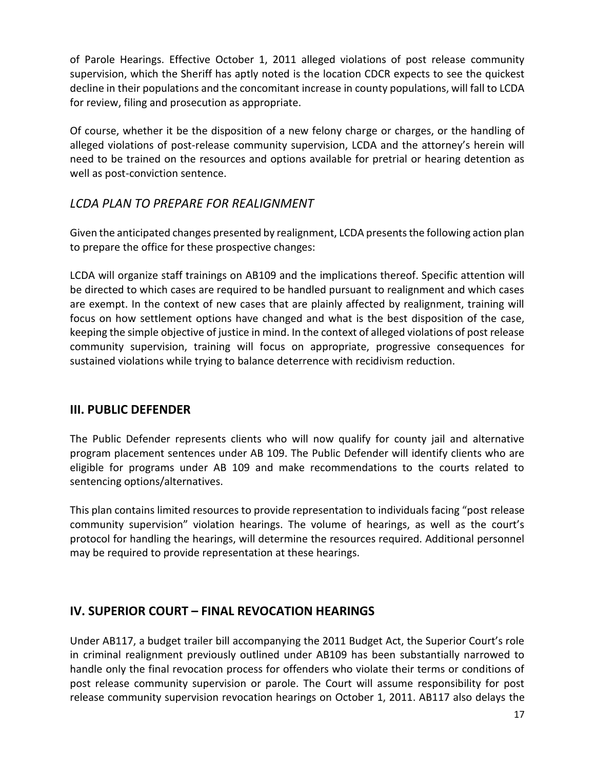of Parole Hearings. Effective October 1, 2011 alleged violations of post release community supervision, which the Sheriff has aptly noted is the location CDCR expects to see the quickest decline in their populations and the concomitant increase in county populations, will fall to LCDA for review, filing and prosecution as appropriate.

Of course, whether it be the disposition of a new felony charge or charges, or the handling of alleged violations of post-release community supervision, LCDA and the attorney's herein will need to be trained on the resources and options available for pretrial or hearing detention as well as post-conviction sentence.

## *LCDA PLAN TO PREPARE FOR REALIGNMENT*

Given the anticipated changes presented by realignment, LCDA presents the following action plan to prepare the office for these prospective changes:

LCDA will organize staff trainings on AB109 and the implications thereof. Specific attention will be directed to which cases are required to be handled pursuant to realignment and which cases are exempt. In the context of new cases that are plainly affected by realignment, training will focus on how settlement options have changed and what is the best disposition of the case, keeping the simple objective of justice in mind. In the context of alleged violations of post release community supervision, training will focus on appropriate, progressive consequences for sustained violations while trying to balance deterrence with recidivism reduction.

## **III. PUBLIC DEFENDER**

The Public Defender represents clients who will now qualify for county jail and alternative program placement sentences under AB 109. The Public Defender will identify clients who are eligible for programs under AB 109 and make recommendations to the courts related to sentencing options/alternatives.

This plan contains limited resources to provide representation to individuals facing "post release community supervision" violation hearings. The volume of hearings, as well as the court's protocol for handling the hearings, will determine the resources required. Additional personnel may be required to provide representation at these hearings.

## **IV. SUPERIOR COURT – FINAL REVOCATION HEARINGS**

Under AB117, a budget trailer bill accompanying the 2011 Budget Act, the Superior Court's role in criminal realignment previously outlined under AB109 has been substantially narrowed to handle only the final revocation process for offenders who violate their terms or conditions of post release community supervision or parole. The Court will assume responsibility for post release community supervision revocation hearings on October 1, 2011. AB117 also delays the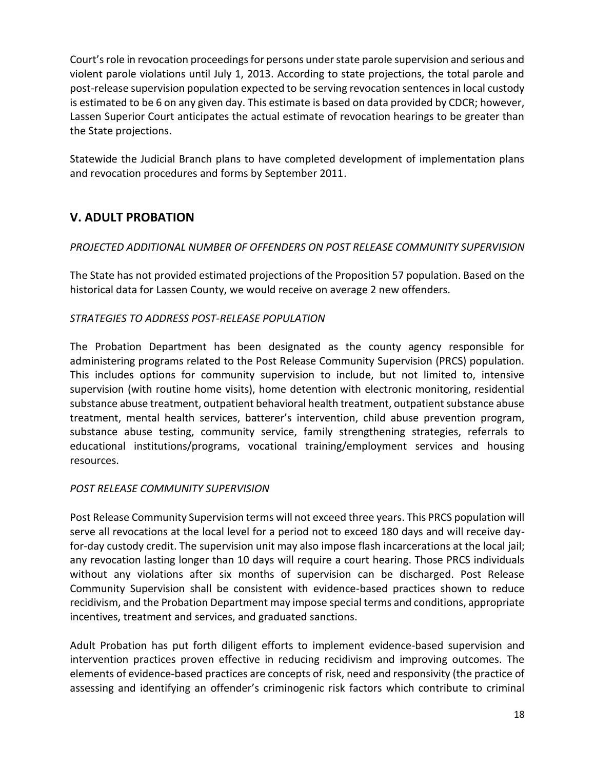Court's role in revocation proceedings for persons under state parole supervision and serious and violent parole violations until July 1, 2013. According to state projections, the total parole and post-release supervision population expected to be serving revocation sentences in local custody is estimated to be 6 on any given day. This estimate is based on data provided by CDCR; however, Lassen Superior Court anticipates the actual estimate of revocation hearings to be greater than the State projections.

Statewide the Judicial Branch plans to have completed development of implementation plans and revocation procedures and forms by September 2011.

## **V. ADULT PROBATION**

#### *PROJECTED ADDITIONAL NUMBER OF OFFENDERS ON POST RELEASE COMMUNITY SUPERVISION*

The State has not provided estimated projections of the Proposition 57 population. Based on the historical data for Lassen County, we would receive on average 2 new offenders.

#### *STRATEGIES TO ADDRESS POST-RELEASE POPULATION*

The Probation Department has been designated as the county agency responsible for administering programs related to the Post Release Community Supervision (PRCS) population. This includes options for community supervision to include, but not limited to, intensive supervision (with routine home visits), home detention with electronic monitoring, residential substance abuse treatment, outpatient behavioral health treatment, outpatient substance abuse treatment, mental health services, batterer's intervention, child abuse prevention program, substance abuse testing, community service, family strengthening strategies, referrals to educational institutions/programs, vocational training/employment services and housing resources.

#### *POST RELEASE COMMUNITY SUPERVISION*

Post Release Community Supervision terms will not exceed three years. This PRCS population will serve all revocations at the local level for a period not to exceed 180 days and will receive dayfor-day custody credit. The supervision unit may also impose flash incarcerations at the local jail; any revocation lasting longer than 10 days will require a court hearing. Those PRCS individuals without any violations after six months of supervision can be discharged. Post Release Community Supervision shall be consistent with evidence-based practices shown to reduce recidivism, and the Probation Department may impose special terms and conditions, appropriate incentives, treatment and services, and graduated sanctions.

Adult Probation has put forth diligent efforts to implement evidence-based supervision and intervention practices proven effective in reducing recidivism and improving outcomes. The elements of evidence-based practices are concepts of risk, need and responsivity (the practice of assessing and identifying an offender's criminogenic risk factors which contribute to criminal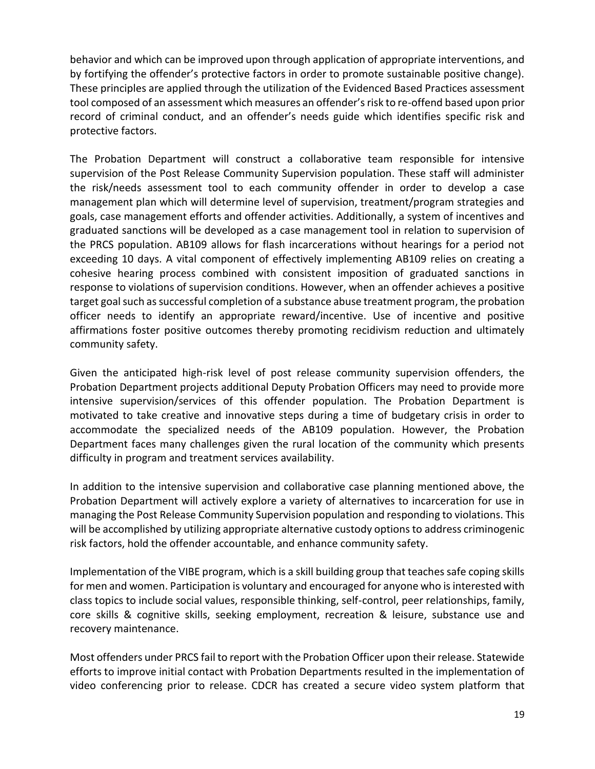behavior and which can be improved upon through application of appropriate interventions, and by fortifying the offender's protective factors in order to promote sustainable positive change). These principles are applied through the utilization of the Evidenced Based Practices assessment tool composed of an assessment which measures an offender's risk to re-offend based upon prior record of criminal conduct, and an offender's needs guide which identifies specific risk and protective factors.

The Probation Department will construct a collaborative team responsible for intensive supervision of the Post Release Community Supervision population. These staff will administer the risk/needs assessment tool to each community offender in order to develop a case management plan which will determine level of supervision, treatment/program strategies and goals, case management efforts and offender activities. Additionally, a system of incentives and graduated sanctions will be developed as a case management tool in relation to supervision of the PRCS population. AB109 allows for flash incarcerations without hearings for a period not exceeding 10 days. A vital component of effectively implementing AB109 relies on creating a cohesive hearing process combined with consistent imposition of graduated sanctions in response to violations of supervision conditions. However, when an offender achieves a positive target goal such as successful completion of a substance abuse treatment program, the probation officer needs to identify an appropriate reward/incentive. Use of incentive and positive affirmations foster positive outcomes thereby promoting recidivism reduction and ultimately community safety.

Given the anticipated high-risk level of post release community supervision offenders, the Probation Department projects additional Deputy Probation Officers may need to provide more intensive supervision/services of this offender population. The Probation Department is motivated to take creative and innovative steps during a time of budgetary crisis in order to accommodate the specialized needs of the AB109 population. However, the Probation Department faces many challenges given the rural location of the community which presents difficulty in program and treatment services availability.

In addition to the intensive supervision and collaborative case planning mentioned above, the Probation Department will actively explore a variety of alternatives to incarceration for use in managing the Post Release Community Supervision population and responding to violations. This will be accomplished by utilizing appropriate alternative custody options to address criminogenic risk factors, hold the offender accountable, and enhance community safety.

Implementation of the VIBE program, which is a skill building group that teaches safe coping skills for men and women. Participation is voluntary and encouraged for anyone who is interested with class topics to include social values, responsible thinking, self-control, peer relationships, family, core skills & cognitive skills, seeking employment, recreation & leisure, substance use and recovery maintenance.

Most offenders under PRCS fail to report with the Probation Officer upon their release. Statewide efforts to improve initial contact with Probation Departments resulted in the implementation of video conferencing prior to release. CDCR has created a secure video system platform that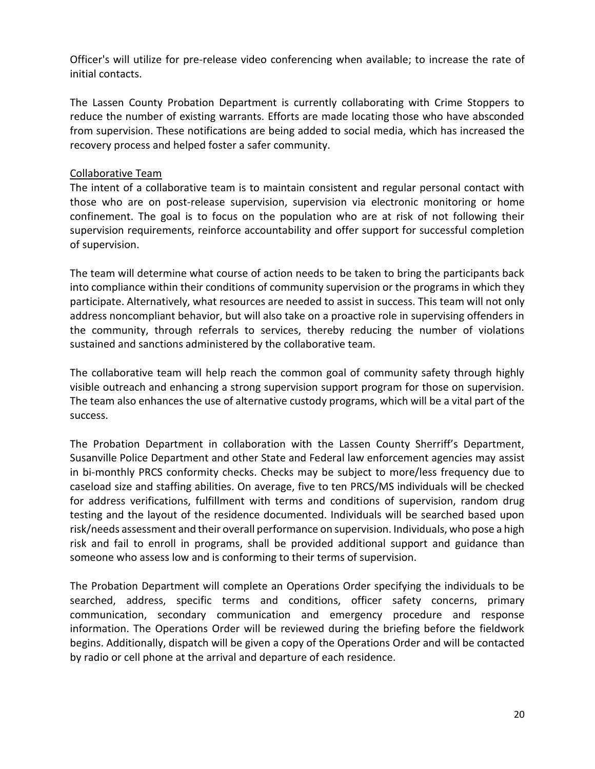Officer's will utilize for pre-release video conferencing when available; to increase the rate of initial contacts.

The Lassen County Probation Department is currently collaborating with Crime Stoppers to reduce the number of existing warrants. Efforts are made locating those who have absconded from supervision. These notifications are being added to social media, which has increased the recovery process and helped foster a safer community.

#### Collaborative Team

The intent of a collaborative team is to maintain consistent and regular personal contact with those who are on post-release supervision, supervision via electronic monitoring or home confinement. The goal is to focus on the population who are at risk of not following their supervision requirements, reinforce accountability and offer support for successful completion of supervision.

The team will determine what course of action needs to be taken to bring the participants back into compliance within their conditions of community supervision or the programs in which they participate. Alternatively, what resources are needed to assist in success. This team will not only address noncompliant behavior, but will also take on a proactive role in supervising offenders in the community, through referrals to services, thereby reducing the number of violations sustained and sanctions administered by the collaborative team.

The collaborative team will help reach the common goal of community safety through highly visible outreach and enhancing a strong supervision support program for those on supervision. The team also enhances the use of alternative custody programs, which will be a vital part of the success.

The Probation Department in collaboration with the Lassen County Sherriff's Department, Susanville Police Department and other State and Federal law enforcement agencies may assist in bi-monthly PRCS conformity checks. Checks may be subject to more/less frequency due to caseload size and staffing abilities. On average, five to ten PRCS/MS individuals will be checked for address verifications, fulfillment with terms and conditions of supervision, random drug testing and the layout of the residence documented. Individuals will be searched based upon risk/needs assessment and their overall performance on supervision. Individuals, who pose a high risk and fail to enroll in programs, shall be provided additional support and guidance than someone who assess low and is conforming to their terms of supervision.

The Probation Department will complete an Operations Order specifying the individuals to be searched, address, specific terms and conditions, officer safety concerns, primary communication, secondary communication and emergency procedure and response information. The Operations Order will be reviewed during the briefing before the fieldwork begins. Additionally, dispatch will be given a copy of the Operations Order and will be contacted by radio or cell phone at the arrival and departure of each residence.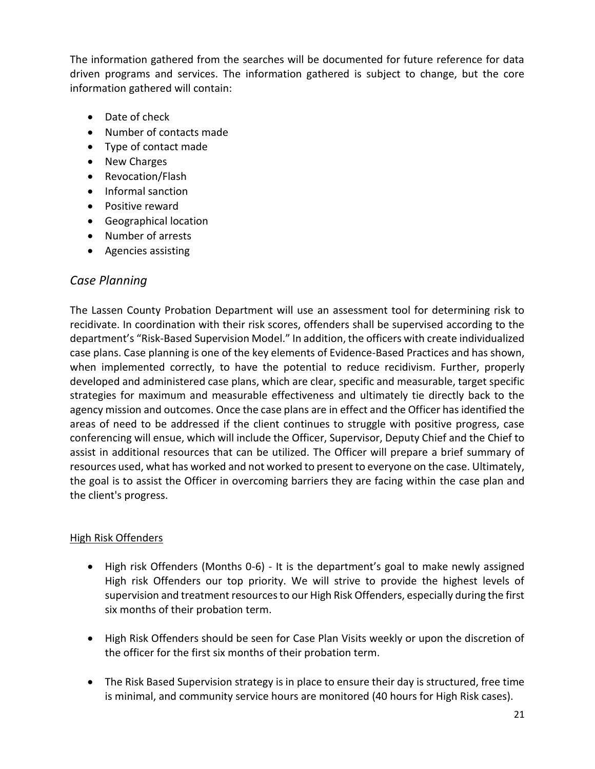The information gathered from the searches will be documented for future reference for data driven programs and services. The information gathered is subject to change, but the core information gathered will contain:

- Date of check
- Number of contacts made
- Type of contact made
- New Charges
- Revocation/Flash
- Informal sanction
- Positive reward
- Geographical location
- Number of arrests
- Agencies assisting

## *Case Planning*

The Lassen County Probation Department will use an assessment tool for determining risk to recidivate. In coordination with their risk scores, offenders shall be supervised according to the department's "Risk-Based Supervision Model." In addition, the officers with create individualized case plans. Case planning is one of the key elements of Evidence-Based Practices and has shown, when implemented correctly, to have the potential to reduce recidivism. Further, properly developed and administered case plans, which are clear, specific and measurable, target specific strategies for maximum and measurable effectiveness and ultimately tie directly back to the agency mission and outcomes. Once the case plans are in effect and the Officer has identified the areas of need to be addressed if the client continues to struggle with positive progress, case conferencing will ensue, which will include the Officer, Supervisor, Deputy Chief and the Chief to assist in additional resources that can be utilized. The Officer will prepare a brief summary of resources used, what has worked and not worked to present to everyone on the case. Ultimately, the goal is to assist the Officer in overcoming barriers they are facing within the case plan and the client's progress.

#### High Risk Offenders

- High risk Offenders (Months 0-6) It is the department's goal to make newly assigned High risk Offenders our top priority. We will strive to provide the highest levels of supervision and treatment resources to our High Risk Offenders, especially during the first six months of their probation term.
- High Risk Offenders should be seen for Case Plan Visits weekly or upon the discretion of the officer for the first six months of their probation term.
- The Risk Based Supervision strategy is in place to ensure their day is structured, free time is minimal, and community service hours are monitored (40 hours for High Risk cases).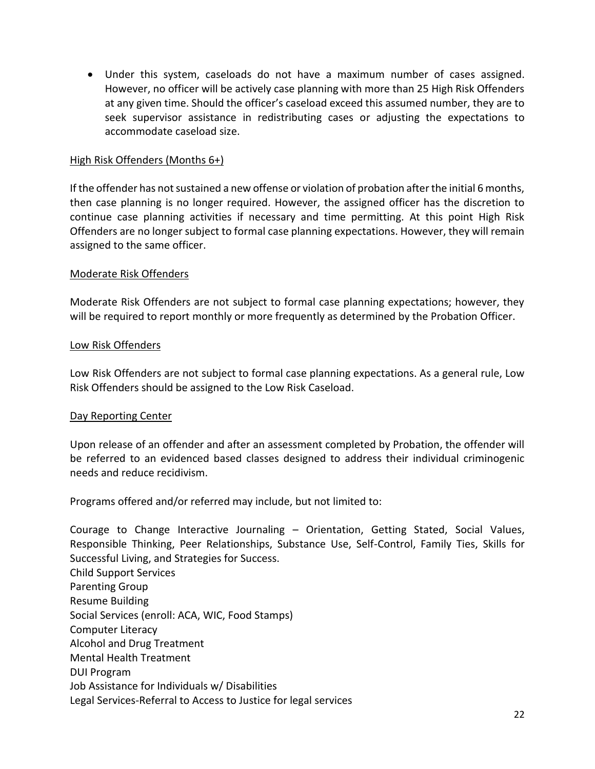• Under this system, caseloads do not have a maximum number of cases assigned. However, no officer will be actively case planning with more than 25 High Risk Offenders at any given time. Should the officer's caseload exceed this assumed number, they are to seek supervisor assistance in redistributing cases or adjusting the expectations to accommodate caseload size.

#### High Risk Offenders (Months 6+)

If the offender has not sustained a new offense or violation of probation after the initial 6 months, then case planning is no longer required. However, the assigned officer has the discretion to continue case planning activities if necessary and time permitting. At this point High Risk Offenders are no longer subject to formal case planning expectations. However, they will remain assigned to the same officer.

#### Moderate Risk Offenders

Moderate Risk Offenders are not subject to formal case planning expectations; however, they will be required to report monthly or more frequently as determined by the Probation Officer.

#### Low Risk Offenders

Low Risk Offenders are not subject to formal case planning expectations. As a general rule, Low Risk Offenders should be assigned to the Low Risk Caseload.

#### Day Reporting Center

Upon release of an offender and after an assessment completed by Probation, the offender will be referred to an evidenced based classes designed to address their individual criminogenic needs and reduce recidivism.

Programs offered and/or referred may include, but not limited to:

Courage to Change Interactive Journaling – Orientation, Getting Stated, Social Values, Responsible Thinking, Peer Relationships, Substance Use, Self-Control, Family Ties, Skills for Successful Living, and Strategies for Success. Child Support Services Parenting Group Resume Building Social Services (enroll: ACA, WIC, Food Stamps) Computer Literacy Alcohol and Drug Treatment Mental Health Treatment DUI Program Job Assistance for Individuals w/ Disabilities Legal Services-Referral to Access to Justice for legal services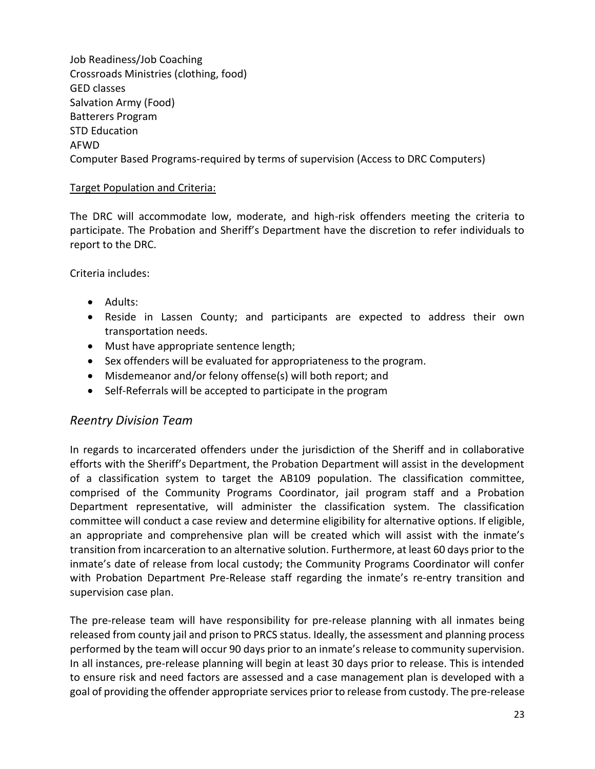Job Readiness/Job Coaching Crossroads Ministries (clothing, food) GED classes Salvation Army (Food) Batterers Program STD Education AFWD Computer Based Programs-required by terms of supervision (Access to DRC Computers)

#### Target Population and Criteria:

The DRC will accommodate low, moderate, and high-risk offenders meeting the criteria to participate. The Probation and Sheriff's Department have the discretion to refer individuals to report to the DRC.

Criteria includes:

- Adults:
- Reside in Lassen County; and participants are expected to address their own transportation needs.
- Must have appropriate sentence length;
- Sex offenders will be evaluated for appropriateness to the program.
- Misdemeanor and/or felony offense(s) will both report; and
- Self-Referrals will be accepted to participate in the program

## *Reentry Division Team*

In regards to incarcerated offenders under the jurisdiction of the Sheriff and in collaborative efforts with the Sheriff's Department, the Probation Department will assist in the development of a classification system to target the AB109 population. The classification committee, comprised of the Community Programs Coordinator, jail program staff and a Probation Department representative, will administer the classification system. The classification committee will conduct a case review and determine eligibility for alternative options. If eligible, an appropriate and comprehensive plan will be created which will assist with the inmate's transition from incarceration to an alternative solution. Furthermore, at least 60 days prior to the inmate's date of release from local custody; the Community Programs Coordinator will confer with Probation Department Pre-Release staff regarding the inmate's re-entry transition and supervision case plan.

The pre-release team will have responsibility for pre-release planning with all inmates being released from county jail and prison to PRCS status. Ideally, the assessment and planning process performed by the team will occur 90 days prior to an inmate's release to community supervision. In all instances, pre-release planning will begin at least 30 days prior to release. This is intended to ensure risk and need factors are assessed and a case management plan is developed with a goal of providing the offender appropriate services prior to release from custody. The pre-release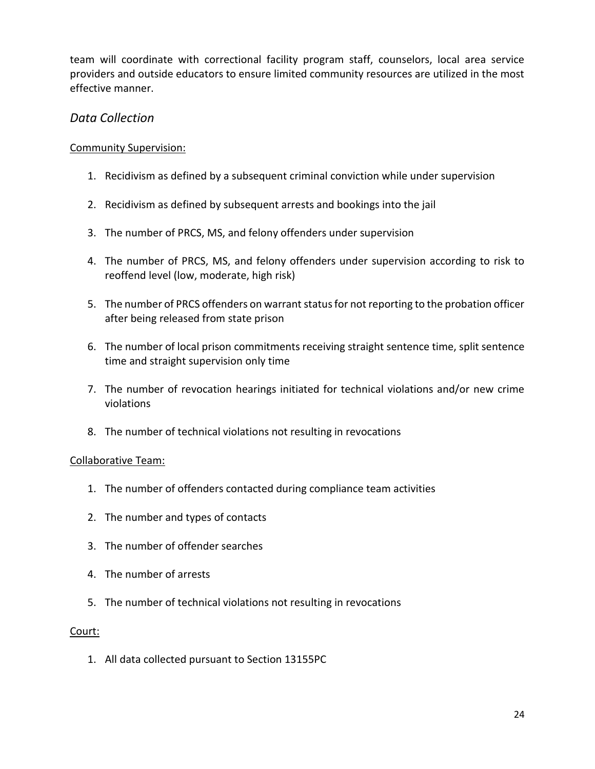team will coordinate with correctional facility program staff, counselors, local area service providers and outside educators to ensure limited community resources are utilized in the most effective manner.

#### *Data Collection*

#### Community Supervision:

- 1. Recidivism as defined by a subsequent criminal conviction while under supervision
- 2. Recidivism as defined by subsequent arrests and bookings into the jail
- 3. The number of PRCS, MS, and felony offenders under supervision
- 4. The number of PRCS, MS, and felony offenders under supervision according to risk to reoffend level (low, moderate, high risk)
- 5. The number of PRCS offenders on warrant status for not reporting to the probation officer after being released from state prison
- 6. The number of local prison commitments receiving straight sentence time, split sentence time and straight supervision only time
- 7. The number of revocation hearings initiated for technical violations and/or new crime violations
- 8. The number of technical violations not resulting in revocations

#### Collaborative Team:

- 1. The number of offenders contacted during compliance team activities
- 2. The number and types of contacts
- 3. The number of offender searches
- 4. The number of arrests
- 5. The number of technical violations not resulting in revocations

#### Court:

1. All data collected pursuant to Section 13155PC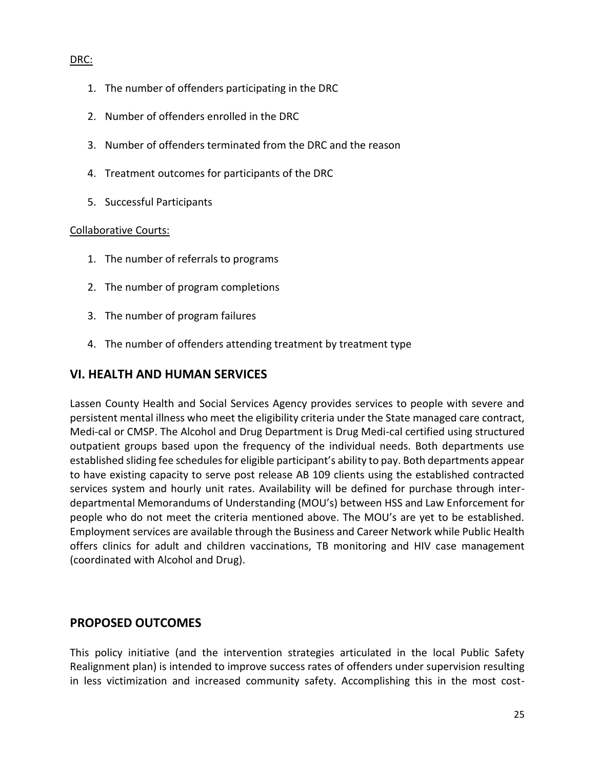#### DRC:

- 1. The number of offenders participating in the DRC
- 2. Number of offenders enrolled in the DRC
- 3. Number of offenders terminated from the DRC and the reason
- 4. Treatment outcomes for participants of the DRC
- 5. Successful Participants

#### Collaborative Courts:

- 1. The number of referrals to programs
- 2. The number of program completions
- 3. The number of program failures
- 4. The number of offenders attending treatment by treatment type

## **VI. HEALTH AND HUMAN SERVICES**

Lassen County Health and Social Services Agency provides services to people with severe and persistent mental illness who meet the eligibility criteria under the State managed care contract, Medi-cal or CMSP. The Alcohol and Drug Department is Drug Medi-cal certified using structured outpatient groups based upon the frequency of the individual needs. Both departments use established sliding fee schedules for eligible participant's ability to pay. Both departments appear to have existing capacity to serve post release AB 109 clients using the established contracted services system and hourly unit rates. Availability will be defined for purchase through interdepartmental Memorandums of Understanding (MOU's) between HSS and Law Enforcement for people who do not meet the criteria mentioned above. The MOU's are yet to be established. Employment services are available through the Business and Career Network while Public Health offers clinics for adult and children vaccinations, TB monitoring and HIV case management (coordinated with Alcohol and Drug).

## **PROPOSED OUTCOMES**

This policy initiative (and the intervention strategies articulated in the local Public Safety Realignment plan) is intended to improve success rates of offenders under supervision resulting in less victimization and increased community safety. Accomplishing this in the most cost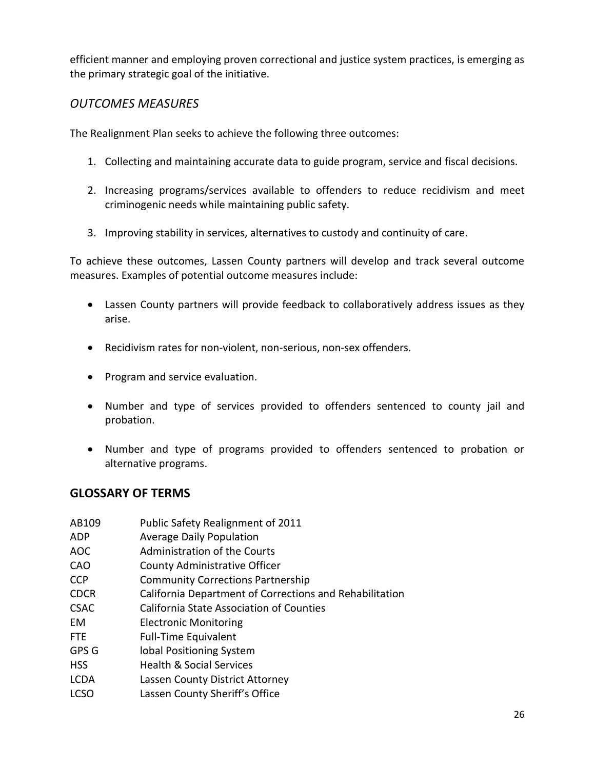efficient manner and employing proven correctional and justice system practices, is emerging as the primary strategic goal of the initiative.

## *OUTCOMES MEASURES*

The Realignment Plan seeks to achieve the following three outcomes:

- 1. Collecting and maintaining accurate data to guide program, service and fiscal decisions.
- 2. Increasing programs/services available to offenders to reduce recidivism and meet criminogenic needs while maintaining public safety.
- 3. Improving stability in services, alternatives to custody and continuity of care.

To achieve these outcomes, Lassen County partners will develop and track several outcome measures. Examples of potential outcome measures include:

- Lassen County partners will provide feedback to collaboratively address issues as they arise.
- Recidivism rates for non-violent, non-serious, non-sex offenders.
- Program and service evaluation.
- Number and type of services provided to offenders sentenced to county jail and probation.
- Number and type of programs provided to offenders sentenced to probation or alternative programs.

## **GLOSSARY OF TERMS**

| AB109       | Public Safety Realignment of 2011                       |
|-------------|---------------------------------------------------------|
| ADP         | <b>Average Daily Population</b>                         |
| AOC         | <b>Administration of the Courts</b>                     |
| CAO         | <b>County Administrative Officer</b>                    |
| CCP         | <b>Community Corrections Partnership</b>                |
| <b>CDCR</b> | California Department of Corrections and Rehabilitation |
| <b>CSAC</b> | <b>California State Association of Counties</b>         |
| EМ          | <b>Electronic Monitoring</b>                            |
| FTE         | <b>Full-Time Equivalent</b>                             |
| GPS G       | lobal Positioning System                                |
| HSS         | <b>Health &amp; Social Services</b>                     |
| LCDA        | Lassen County District Attorney                         |
| LCSO        | Lassen County Sheriff's Office                          |